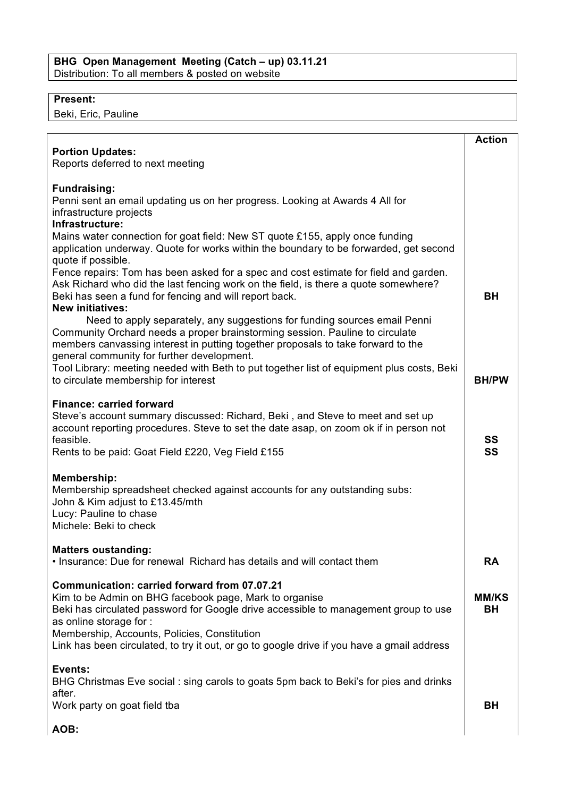## **Present:**

Beki, Eric, Pauline

|                                                                                                                                                                  | <b>Action</b> |
|------------------------------------------------------------------------------------------------------------------------------------------------------------------|---------------|
| <b>Portion Updates:</b>                                                                                                                                          |               |
| Reports deferred to next meeting                                                                                                                                 |               |
|                                                                                                                                                                  |               |
| <b>Fundraising:</b>                                                                                                                                              |               |
| Penni sent an email updating us on her progress. Looking at Awards 4 All for                                                                                     |               |
| infrastructure projects                                                                                                                                          |               |
| Infrastructure:                                                                                                                                                  |               |
| Mains water connection for goat field: New ST quote £155, apply once funding                                                                                     |               |
| application underway. Quote for works within the boundary to be forwarded, get second                                                                            |               |
| quote if possible.                                                                                                                                               |               |
| Fence repairs: Tom has been asked for a spec and cost estimate for field and garden.                                                                             |               |
| Ask Richard who did the last fencing work on the field, is there a quote somewhere?                                                                              |               |
| Beki has seen a fund for fencing and will report back.                                                                                                           | <b>BH</b>     |
| <b>New initiatives:</b>                                                                                                                                          |               |
| Need to apply separately, any suggestions for funding sources email Penni                                                                                        |               |
| Community Orchard needs a proper brainstorming session. Pauline to circulate<br>members canvassing interest in putting together proposals to take forward to the |               |
| general community for further development.                                                                                                                       |               |
| Tool Library: meeting needed with Beth to put together list of equipment plus costs, Beki                                                                        |               |
| to circulate membership for interest                                                                                                                             | <b>BH/PW</b>  |
|                                                                                                                                                                  |               |
| <b>Finance: carried forward</b>                                                                                                                                  |               |
| Steve's account summary discussed: Richard, Beki, and Steve to meet and set up                                                                                   |               |
| account reporting procedures. Steve to set the date asap, on zoom ok if in person not                                                                            |               |
| feasible.                                                                                                                                                        | SS            |
| Rents to be paid: Goat Field £220, Veg Field £155                                                                                                                | SS            |
|                                                                                                                                                                  |               |
| Membership:                                                                                                                                                      |               |
| Membership spreadsheet checked against accounts for any outstanding subs:                                                                                        |               |
| John & Kim adjust to £13.45/mth<br>Lucy: Pauline to chase                                                                                                        |               |
| Michele: Beki to check                                                                                                                                           |               |
|                                                                                                                                                                  |               |
| <b>Matters oustanding:</b>                                                                                                                                       |               |
| . Insurance: Due for renewal Richard has details and will contact them                                                                                           | <b>RA</b>     |
|                                                                                                                                                                  |               |
| Communication: carried forward from 07.07.21                                                                                                                     |               |
| Kim to be Admin on BHG facebook page, Mark to organise                                                                                                           | <b>MM/KS</b>  |
| Beki has circulated password for Google drive accessible to management group to use                                                                              | <b>BH</b>     |
| as online storage for :                                                                                                                                          |               |
| Membership, Accounts, Policies, Constitution                                                                                                                     |               |
| Link has been circulated, to try it out, or go to google drive if you have a gmail address                                                                       |               |
| Events:                                                                                                                                                          |               |
| BHG Christmas Eve social: sing carols to goats 5pm back to Beki's for pies and drinks                                                                            |               |
| after.                                                                                                                                                           |               |
| Work party on goat field tba                                                                                                                                     | <b>BH</b>     |
|                                                                                                                                                                  |               |
| AOB:                                                                                                                                                             |               |